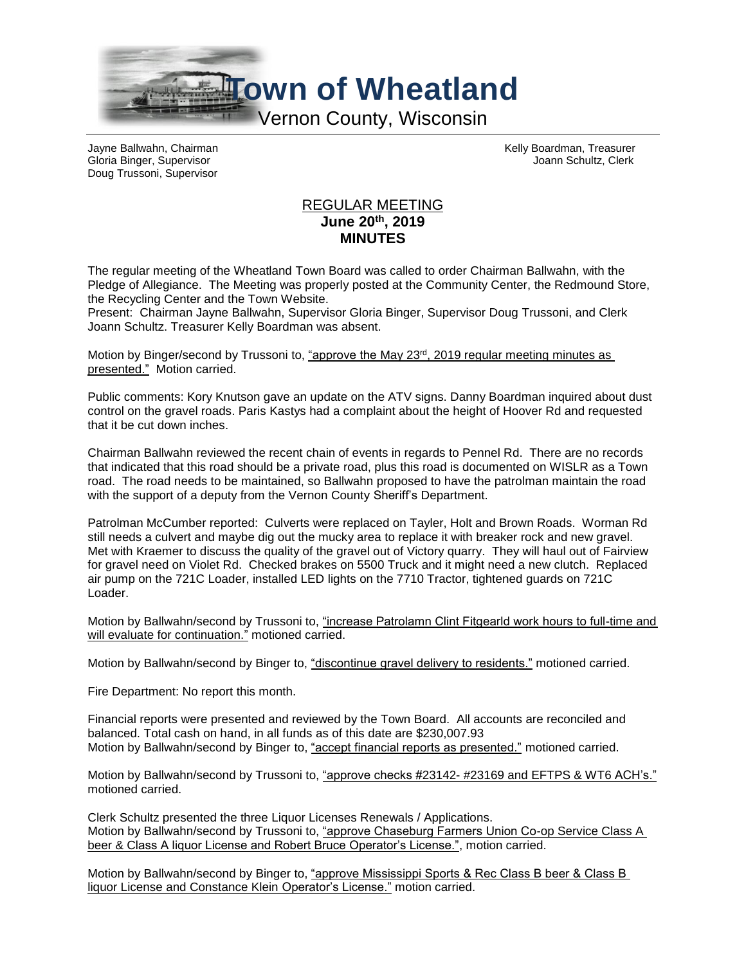

Doug Trussoni, Supervisor

Jayne Ballwahn, Chairman Kelly Boardman, Treasurer Gloria Binger, Supervisor Joann Schultz, Clerk

## REGULAR MEETING **June 20th, 2019 MINUTES**

The regular meeting of the Wheatland Town Board was called to order Chairman Ballwahn, with the Pledge of Allegiance. The Meeting was properly posted at the Community Center, the Redmound Store, the Recycling Center and the Town Website.

Present: Chairman Jayne Ballwahn, Supervisor Gloria Binger, Supervisor Doug Trussoni, and Clerk Joann Schultz. Treasurer Kelly Boardman was absent.

Motion by Binger/second by Trussoni to, "approve the May 23<sup>rd</sup>, 2019 regular meeting minutes as presented." Motion carried.

Public comments: Kory Knutson gave an update on the ATV signs. Danny Boardman inquired about dust control on the gravel roads. Paris Kastys had a complaint about the height of Hoover Rd and requested that it be cut down inches.

Chairman Ballwahn reviewed the recent chain of events in regards to Pennel Rd. There are no records that indicated that this road should be a private road, plus this road is documented on WISLR as a Town road. The road needs to be maintained, so Ballwahn proposed to have the patrolman maintain the road with the support of a deputy from the Vernon County Sheriff's Department.

Patrolman McCumber reported: Culverts were replaced on Tayler, Holt and Brown Roads. Worman Rd still needs a culvert and maybe dig out the mucky area to replace it with breaker rock and new gravel. Met with Kraemer to discuss the quality of the gravel out of Victory quarry. They will haul out of Fairview for gravel need on Violet Rd. Checked brakes on 5500 Truck and it might need a new clutch. Replaced air pump on the 721C Loader, installed LED lights on the 7710 Tractor, tightened guards on 721C Loader.

Motion by Ballwahn/second by Trussoni to, "increase Patrolamn Clint Fitgearld work hours to full-time and will evaluate for continuation." motioned carried.

Motion by Ballwahn/second by Binger to, "discontinue gravel delivery to residents." motioned carried.

Fire Department: No report this month.

Financial reports were presented and reviewed by the Town Board. All accounts are reconciled and balanced. Total cash on hand, in all funds as of this date are \$230,007.93 Motion by Ballwahn/second by Binger to, "accept financial reports as presented." motioned carried.

Motion by Ballwahn/second by Trussoni to, "approve checks #23142- #23169 and EFTPS & WT6 ACH's." motioned carried.

Clerk Schultz presented the three Liquor Licenses Renewals / Applications. Motion by Ballwahn/second by Trussoni to, "approve Chaseburg Farmers Union Co-op Service Class A beer & Class A liquor License and Robert Bruce Operator's License.", motion carried.

Motion by Ballwahn/second by Binger to, "approve Mississippi Sports & Rec Class B beer & Class B liquor License and Constance Klein Operator's License." motion carried.